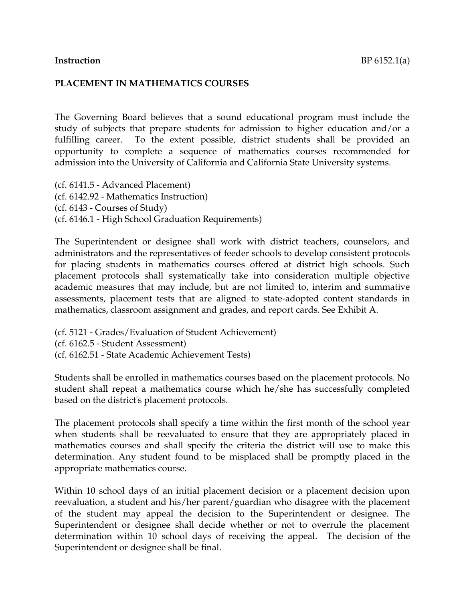#### **PLACEMENT IN MATHEMATICS COURSES**

The Governing Board believes that a sound educational program must include the study of subjects that prepare students for admission to higher education and/or a fulfilling career. To the extent possible, district students shall be provided an opportunity to complete a sequence of mathematics courses recommended for admission into the University of California and California State University systems.

(cf. 6141.5 - Advanced Placement) (cf. 6142.92 - Mathematics Instruction) (cf. 6143 - Courses of Study) (cf. 6146.1 - High School Graduation Requirements)

The Superintendent or designee shall work with district teachers, counselors, and administrators and the representatives of feeder schools to develop consistent protocols for placing students in mathematics courses offered at district high schools. Such placement protocols shall systematically take into consideration multiple objective academic measures that may include, but are not limited to, interim and summative assessments, placement tests that are aligned to state-adopted content standards in mathematics, classroom assignment and grades, and report cards. See Exhibit A.

(cf. 5121 - Grades/Evaluation of Student Achievement) (cf. 6162.5 - Student Assessment) (cf. 6162.51 - State Academic Achievement Tests)

Students shall be enrolled in mathematics courses based on the placement protocols. No student shall repeat a mathematics course which he/she has successfully completed based on the district's placement protocols.

The placement protocols shall specify a time within the first month of the school year when students shall be reevaluated to ensure that they are appropriately placed in mathematics courses and shall specify the criteria the district will use to make this determination. Any student found to be misplaced shall be promptly placed in the appropriate mathematics course.

Within 10 school days of an initial placement decision or a placement decision upon reevaluation, a student and his/her parent/guardian who disagree with the placement of the student may appeal the decision to the Superintendent or designee. The Superintendent or designee shall decide whether or not to overrule the placement determination within 10 school days of receiving the appeal. The decision of the Superintendent or designee shall be final.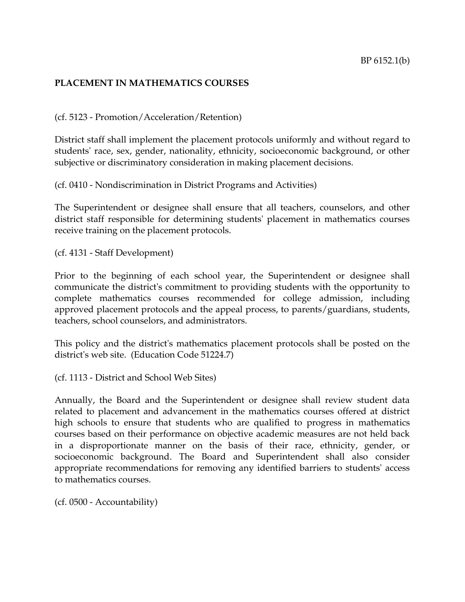#### **PLACEMENT IN MATHEMATICS COURSES**

#### (cf. 5123 - Promotion/Acceleration/Retention)

District staff shall implement the placement protocols uniformly and without regard to students' race, sex, gender, nationality, ethnicity, socioeconomic background, or other subjective or discriminatory consideration in making placement decisions.

(cf. 0410 - Nondiscrimination in District Programs and Activities)

The Superintendent or designee shall ensure that all teachers, counselors, and other district staff responsible for determining students' placement in mathematics courses receive training on the placement protocols.

(cf. 4131 - Staff Development)

Prior to the beginning of each school year, the Superintendent or designee shall communicate the district's commitment to providing students with the opportunity to complete mathematics courses recommended for college admission, including approved placement protocols and the appeal process, to parents/guardians, students, teachers, school counselors, and administrators.

This policy and the district's mathematics placement protocols shall be posted on the district's web site. (Education Code 51224.7)

(cf. 1113 - District and School Web Sites)

Annually, the Board and the Superintendent or designee shall review student data related to placement and advancement in the mathematics courses offered at district high schools to ensure that students who are qualified to progress in mathematics courses based on their performance on objective academic measures are not held back in a disproportionate manner on the basis of their race, ethnicity, gender, or socioeconomic background. The Board and Superintendent shall also consider appropriate recommendations for removing any identified barriers to students' access to mathematics courses.

(cf. 0500 - Accountability)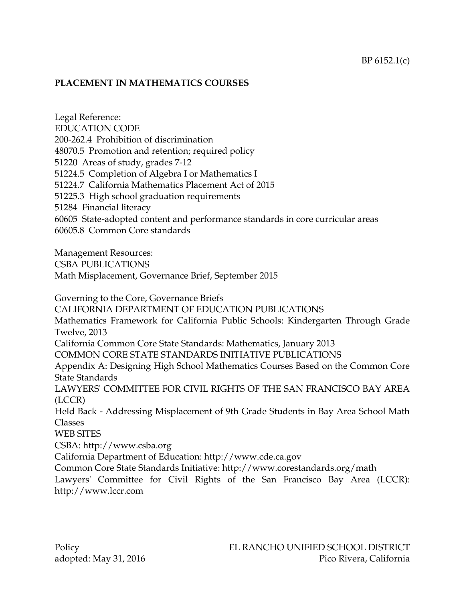#### **PLACEMENT IN MATHEMATICS COURSES**

Legal Reference: EDUCATION CODE 200-262.4 Prohibition of discrimination 48070.5 Promotion and retention; required policy 51220 Areas of study, grades 7-12 51224.5 Completion of Algebra I or Mathematics I 51224.7 California Mathematics Placement Act of 2015 51225.3 High school graduation requirements 51284 Financial literacy 60605 State-adopted content and performance standards in core curricular areas 60605.8 Common Core standards

Management Resources: CSBA PUBLICATIONS Math Misplacement, Governance Brief, September 2015

Governing to the Core, Governance Briefs CALIFORNIA DEPARTMENT OF EDUCATION PUBLICATIONS Mathematics Framework for California Public Schools: Kindergarten Through Grade Twelve, 2013 California Common Core State Standards: Mathematics, January 2013 COMMON CORE STATE STANDARDS INITIATIVE PUBLICATIONS Appendix A: Designing High School Mathematics Courses Based on the Common Core State Standards LAWYERS' COMMITTEE FOR CIVIL RIGHTS OF THE SAN FRANCISCO BAY AREA (LCCR) Held Back - Addressing Misplacement of 9th Grade Students in Bay Area School Math Classes WEB SITES CSBA: http://www.csba.org California Department of Education: http://www.cde.ca.gov Common Core State Standards Initiative: http://www.corestandards.org/math Lawyers' Committee for Civil Rights of the San Francisco Bay Area (LCCR): http://www.lccr.com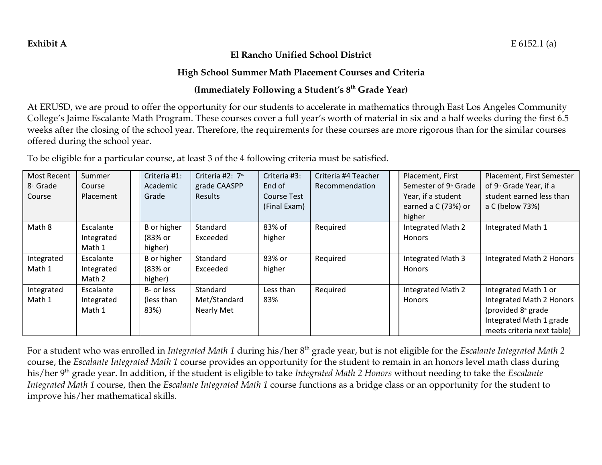#### **El Rancho Unified School District**

### **High School Summer Math Placement Courses and Criteria**

## **(Immediately Following a Student's 8th Grade Year)**

At ERUSD, we are proud to offer the opportunity for our students to accelerate in mathematics through East Los Angeles Community College's Jaime Escalante Math Program. These courses cover a full year's worth of material in six and a half weeks during the first 6.5 weeks after the closing of the school year. Therefore, the requirements for these courses are more rigorous than for the similar courses offered during the school year.

To be eligible for a particular course, at least 3 of the 4 following criteria must be satisfied.

| Most Recent           | Summer     | Criteria #1: | Criteria #2: 7th | Criteria #3: | Criteria #4 Teacher | Placement, First                  | Placement, First Semester           |
|-----------------------|------------|--------------|------------------|--------------|---------------------|-----------------------------------|-------------------------------------|
| 8 <sup>th</sup> Grade | Course     | Academic     | grade CAASPP     | End of       | Recommendation      | Semester of 9 <sup>th</sup> Grade | of 9 <sup>th</sup> Grade Year, if a |
| Course                | Placement  | Grade        | Results          | Course Test  |                     | Year, if a student                | student earned less than            |
|                       |            |              |                  | (Final Exam) |                     | earned a C (73%) or               | a C (below 73%)                     |
|                       |            |              |                  |              |                     | higher                            |                                     |
| Math 8                | Escalante  | B or higher  | Standard         | 83% of       | Required            | Integrated Math 2                 | Integrated Math 1                   |
|                       | Integrated | (83% or      | Exceeded         | higher       |                     | <b>Honors</b>                     |                                     |
|                       | Math 1     | higher)      |                  |              |                     |                                   |                                     |
| Integrated            | Escalante  | B or higher  | Standard         | 83% or       | Required            | Integrated Math 3                 | Integrated Math 2 Honors            |
| Math 1                | Integrated | (83% or      | Exceeded         | higher       |                     | <b>Honors</b>                     |                                     |
|                       | Math 2     | higher)      |                  |              |                     |                                   |                                     |
| Integrated            | Escalante  | B- or less   | Standard         | Less than    | Required            | Integrated Math 2                 | Integrated Math 1 or                |
| Math 1                | Integrated | (less than   | Met/Standard     | 83%          |                     | Honors                            | Integrated Math 2 Honors            |
|                       | Math 1     | 83%)         | Nearly Met       |              |                     |                                   | (provided 8 <sup>th</sup> grade     |
|                       |            |              |                  |              |                     |                                   | Integrated Math 1 grade             |
|                       |            |              |                  |              |                     |                                   | meets criteria next table)          |

For a student who was enrolled in *Integrated Math 1* during his/her 8th grade year, but is not eligible for the *Escalante Integrated Math 2* course, the *Escalante Integrated Math 1* course provides an opportunity for the student to remain in an honors level math class during his/her 9th grade year. In addition, if the student is eligible to take *Integrated Math 2 Honors* without needing to take the *Escalante Integrated Math 1* course, then the *Escalante Integrated Math 1* course functions as a bridge class or an opportunity for the student to improve his/her mathematical skills.